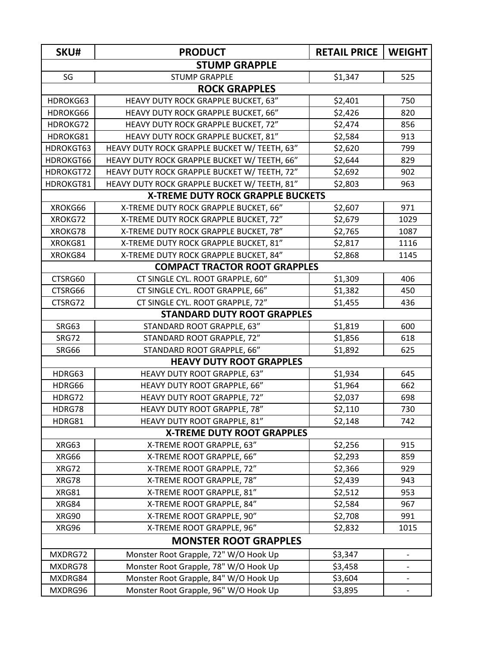| SKU#                                     | <b>PRODUCT</b>                               | <b>RETAIL PRICE</b> | <b>WEIGHT</b>                |  |  |  |
|------------------------------------------|----------------------------------------------|---------------------|------------------------------|--|--|--|
| <b>STUMP GRAPPLE</b>                     |                                              |                     |                              |  |  |  |
| SG                                       | <b>STUMP GRAPPLE</b>                         | \$1,347             | 525                          |  |  |  |
| <b>ROCK GRAPPLES</b>                     |                                              |                     |                              |  |  |  |
| HDROKG63                                 | HEAVY DUTY ROCK GRAPPLE BUCKET, 63"          | \$2,401             | 750                          |  |  |  |
| HDROKG66                                 | HEAVY DUTY ROCK GRAPPLE BUCKET, 66"          | \$2,426             | 820                          |  |  |  |
| HDROKG72                                 | HEAVY DUTY ROCK GRAPPLE BUCKET, 72"          | \$2,474             | 856                          |  |  |  |
| HDROKG81                                 | HEAVY DUTY ROCK GRAPPLE BUCKET, 81"          | \$2,584             | 913                          |  |  |  |
| HDROKGT63                                | HEAVY DUTY ROCK GRAPPLE BUCKET W/ TEETH, 63" | \$2,620             | 799                          |  |  |  |
| HDROKGT66                                | HEAVY DUTY ROCK GRAPPLE BUCKET W/ TEETH, 66" | \$2,644             | 829                          |  |  |  |
| HDROKGT72                                | HEAVY DUTY ROCK GRAPPLE BUCKET W/ TEETH, 72" | \$2,692             | 902                          |  |  |  |
| HDROKGT81                                | HEAVY DUTY ROCK GRAPPLE BUCKET W/ TEETH, 81" | \$2,803             | 963                          |  |  |  |
| <b>X-TREME DUTY ROCK GRAPPLE BUCKETS</b> |                                              |                     |                              |  |  |  |
| XROKG66                                  | X-TREME DUTY ROCK GRAPPLE BUCKET, 66"        | \$2,607             | 971                          |  |  |  |
| XROKG72                                  | X-TREME DUTY ROCK GRAPPLE BUCKET, 72"        | \$2,679             | 1029                         |  |  |  |
| XROKG78                                  | X-TREME DUTY ROCK GRAPPLE BUCKET, 78"        | \$2,765             | 1087                         |  |  |  |
| XROKG81                                  | X-TREME DUTY ROCK GRAPPLE BUCKET, 81"        | \$2,817             | 1116                         |  |  |  |
| XROKG84                                  | X-TREME DUTY ROCK GRAPPLE BUCKET, 84"        | \$2,868             | 1145                         |  |  |  |
|                                          | <b>COMPACT TRACTOR ROOT GRAPPLES</b>         |                     |                              |  |  |  |
| CTSRG60                                  | CT SINGLE CYL. ROOT GRAPPLE, 60"             | \$1,309             | 406                          |  |  |  |
| CTSRG66                                  | CT SINGLE CYL. ROOT GRAPPLE, 66"             | \$1,382             | 450                          |  |  |  |
| CTSRG72                                  | CT SINGLE CYL. ROOT GRAPPLE, 72"             | \$1,455             | 436                          |  |  |  |
|                                          | <b>STANDARD DUTY ROOT GRAPPLES</b>           |                     |                              |  |  |  |
| SRG63                                    | STANDARD ROOT GRAPPLE, 63"                   | \$1,819             | 600                          |  |  |  |
| SRG72                                    | STANDARD ROOT GRAPPLE, 72"                   | \$1,856             | 618                          |  |  |  |
| SRG66                                    | STANDARD ROOT GRAPPLE, 66"                   | \$1,892             | 625                          |  |  |  |
|                                          | <b>HEAVY DUTY ROOT GRAPPLES</b>              |                     |                              |  |  |  |
| HDRG63                                   | HEAVY DUTY ROOT GRAPPLE, 63"                 | \$1,934             | 645                          |  |  |  |
| HDRG66                                   | HEAVY DUTY ROOT GRAPPLE, 66"                 | \$1,964             | 662                          |  |  |  |
| HDRG72                                   | HEAVY DUTY ROOT GRAPPLE, 72"                 | \$2,037             | 698                          |  |  |  |
| HDRG78                                   | HEAVY DUTY ROOT GRAPPLE, 78"                 | \$2,110             | 730                          |  |  |  |
| HDRG81                                   | HEAVY DUTY ROOT GRAPPLE, 81"                 | \$2,148             | 742                          |  |  |  |
|                                          | <b>X-TREME DUTY ROOT GRAPPLES</b>            |                     |                              |  |  |  |
| XRG63                                    | X-TREME ROOT GRAPPLE, 63"                    | \$2,256             | 915                          |  |  |  |
| XRG66                                    | X-TREME ROOT GRAPPLE, 66"                    | \$2,293             | 859                          |  |  |  |
| XRG72                                    | X-TREME ROOT GRAPPLE, 72"                    | \$2,366             | 929                          |  |  |  |
| XRG78                                    | X-TREME ROOT GRAPPLE, 78"                    | \$2,439             | 943                          |  |  |  |
| <b>XRG81</b>                             | X-TREME ROOT GRAPPLE, 81"                    | \$2,512             | 953                          |  |  |  |
| XRG84                                    | X-TREME ROOT GRAPPLE, 84"                    | \$2,584             | 967                          |  |  |  |
| XRG90                                    | X-TREME ROOT GRAPPLE, 90"                    | \$2,708             | 991                          |  |  |  |
| XRG96                                    | X-TREME ROOT GRAPPLE, 96"                    | \$2,832             | 1015                         |  |  |  |
| <b>MONSTER ROOT GRAPPLES</b>             |                                              |                     |                              |  |  |  |
| MXDRG72                                  | Monster Root Grapple, 72" W/O Hook Up        | \$3,347             |                              |  |  |  |
| MXDRG78                                  | Monster Root Grapple, 78" W/O Hook Up        | \$3,458             |                              |  |  |  |
| MXDRG84                                  | Monster Root Grapple, 84" W/O Hook Up        | \$3,604             |                              |  |  |  |
| MXDRG96                                  | Monster Root Grapple, 96" W/O Hook Up        | \$3,895             | $\qquad \qquad \blacksquare$ |  |  |  |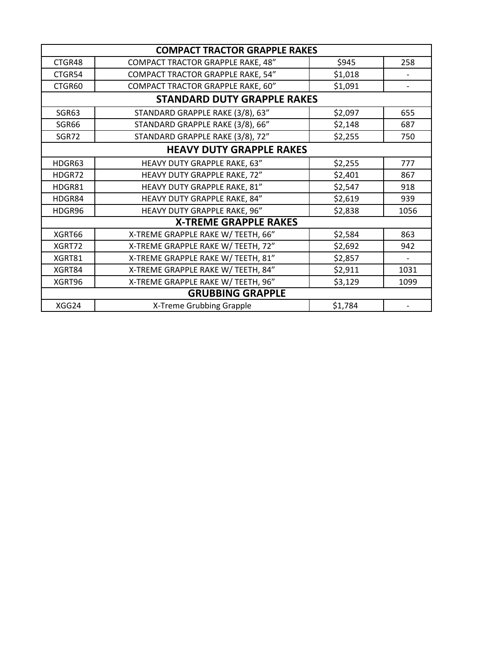| <b>COMPACT TRACTOR GRAPPLE RAKES</b> |                                          |         |                          |  |  |
|--------------------------------------|------------------------------------------|---------|--------------------------|--|--|
| CTGR48                               | <b>COMPACT TRACTOR GRAPPLE RAKE, 48"</b> | \$945   | 258                      |  |  |
| CTGR54                               | COMPACT TRACTOR GRAPPLE RAKE, 54"        | \$1,018 | $\overline{\phantom{a}}$ |  |  |
| CTGR60                               | COMPACT TRACTOR GRAPPLE RAKE, 60"        | \$1,091 |                          |  |  |
| <b>STANDARD DUTY GRAPPLE RAKES</b>   |                                          |         |                          |  |  |
| SGR63                                | STANDARD GRAPPLE RAKE (3/8), 63"         | \$2,097 | 655                      |  |  |
| SGR66                                | STANDARD GRAPPLE RAKE (3/8), 66"         | \$2,148 | 687                      |  |  |
| SGR72                                | STANDARD GRAPPLE RAKE (3/8), 72"         | \$2,255 | 750                      |  |  |
| <b>HEAVY DUTY GRAPPLE RAKES</b>      |                                          |         |                          |  |  |
| HDGR63                               | HEAVY DUTY GRAPPLE RAKE, 63"             | \$2,255 | 777                      |  |  |
| HDGR72                               | HEAVY DUTY GRAPPLE RAKE, 72"             | \$2,401 | 867                      |  |  |
| HDGR81                               | HEAVY DUTY GRAPPLE RAKE, 81"             | \$2,547 | 918                      |  |  |
| HDGR84                               | HEAVY DUTY GRAPPLE RAKE, 84"             | \$2,619 | 939                      |  |  |
| HDGR96                               | HEAVY DUTY GRAPPLE RAKE, 96"             | \$2,838 | 1056                     |  |  |
| <b>X-TREME GRAPPLE RAKES</b>         |                                          |         |                          |  |  |
| XGRT66                               | X-TREME GRAPPLE RAKE W/ TEETH, 66"       | \$2,584 | 863                      |  |  |
| XGRT72                               | X-TREME GRAPPLE RAKE W/ TEETH, 72"       | \$2,692 | 942                      |  |  |
| XGRT81                               | X-TREME GRAPPLE RAKE W/ TEETH, 81"       | \$2,857 | $\overline{\phantom{a}}$ |  |  |
| XGRT84                               | X-TREME GRAPPLE RAKE W/ TEETH, 84"       | \$2,911 | 1031                     |  |  |
| XGRT96                               | X-TREME GRAPPLE RAKE W/ TEETH, 96"       | \$3,129 | 1099                     |  |  |
| <b>GRUBBING GRAPPLE</b>              |                                          |         |                          |  |  |
| XGG24                                | X-Treme Grubbing Grapple                 | \$1,784 |                          |  |  |